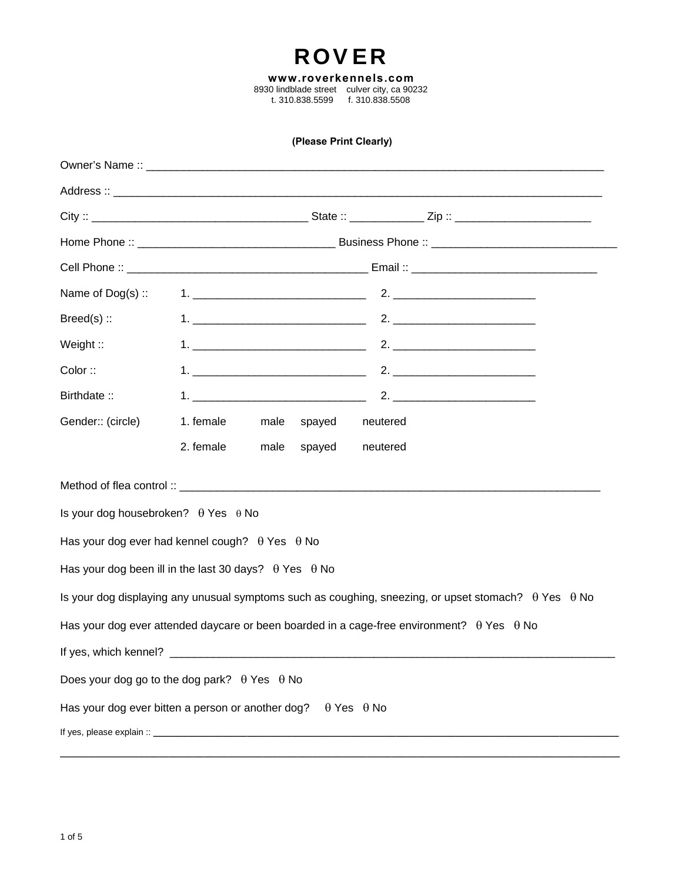# ROVER

**www.roverkennels.com** 8930 lindblade street culver city, ca 90232 t. 310.838.5599 f. 310.838.5508

#### **(Please Print Clearly)**

| Name of Dog(s) ::                                                   |           |                         |                          |                                                                                                                    |  |
|---------------------------------------------------------------------|-----------|-------------------------|--------------------------|--------------------------------------------------------------------------------------------------------------------|--|
| $Breed(s)$ :                                                        |           |                         |                          |                                                                                                                    |  |
| Weight ::                                                           |           |                         |                          |                                                                                                                    |  |
| Color ::                                                            |           |                         |                          |                                                                                                                    |  |
| Birthdate:                                                          |           |                         |                          |                                                                                                                    |  |
| Gender:: (circle)                                                   | 1. female | male<br>spayed neutered |                          |                                                                                                                    |  |
|                                                                     | 2. female | spayed<br>male          | neutered                 |                                                                                                                    |  |
|                                                                     |           |                         |                          |                                                                                                                    |  |
| Is your dog housebroken? $\theta$ Yes $\theta$ No                   |           |                         |                          |                                                                                                                    |  |
| Has your dog ever had kennel cough? $\theta$ Yes $\theta$ No        |           |                         |                          |                                                                                                                    |  |
| Has your dog been ill in the last 30 days? $\theta$ Yes $\theta$ No |           |                         |                          |                                                                                                                    |  |
|                                                                     |           |                         |                          | Is your dog displaying any unusual symptoms such as coughing, sneezing, or upset stomach? $\theta$ Yes $\theta$ No |  |
|                                                                     |           |                         |                          | Has your dog ever attended daycare or been boarded in a cage-free environment? $\theta$ Yes $\theta$ No            |  |
|                                                                     |           |                         |                          |                                                                                                                    |  |
| Does your dog go to the dog park? $\theta$ Yes $\theta$ No          |           |                         |                          |                                                                                                                    |  |
| Has your dog ever bitten a person or another dog?                   |           |                         | $\theta$ Yes $\theta$ No |                                                                                                                    |  |
|                                                                     |           |                         |                          |                                                                                                                    |  |
|                                                                     |           |                         |                          |                                                                                                                    |  |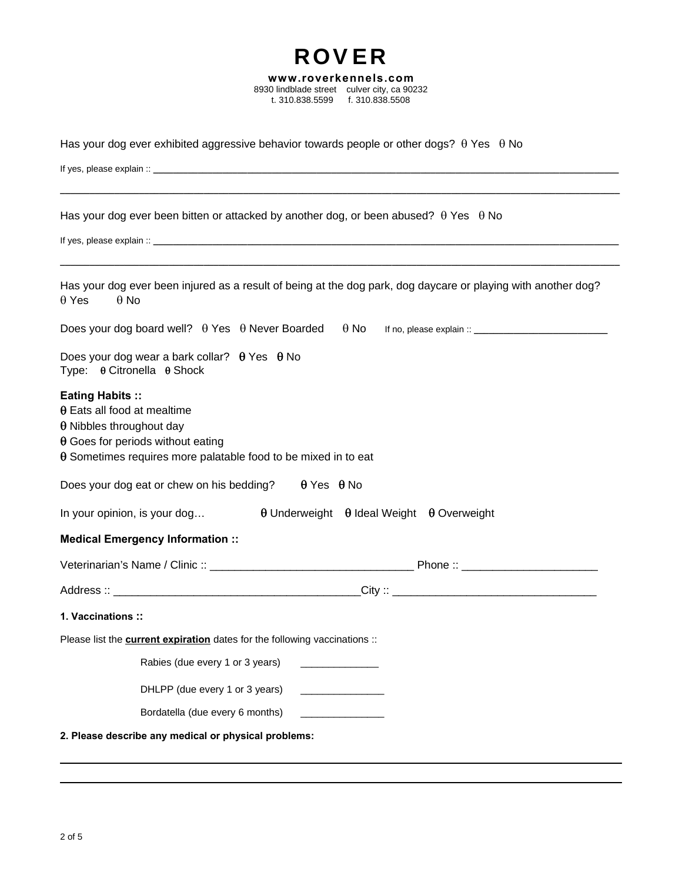| 8930 lindblade street culver city, ca 90232<br>t. 310.838.5599<br>f. 310.838.5508                                                                                                                                              |
|--------------------------------------------------------------------------------------------------------------------------------------------------------------------------------------------------------------------------------|
|                                                                                                                                                                                                                                |
| Has your dog ever exhibited aggressive behavior towards people or other dogs? $\theta$ Yes $\theta$ No                                                                                                                         |
|                                                                                                                                                                                                                                |
|                                                                                                                                                                                                                                |
| Has your dog ever been bitten or attacked by another dog, or been abused? $\theta$ Yes $\theta$ No                                                                                                                             |
|                                                                                                                                                                                                                                |
| Has your dog ever been injured as a result of being at the dog park, dog daycare or playing with another dog?<br>$\theta$ Yes<br>$\theta$ No                                                                                   |
| Does your dog board well? $\theta$ Yes $\theta$ Never Boarded<br>$\theta$ No                                                                                                                                                   |
| Does your dog wear a bark collar? $\theta$ Yes $\theta$ No<br>Type: $\theta$ Citronella $\theta$ Shock                                                                                                                         |
| <b>Eating Habits::</b><br>$\theta$ Eats all food at mealtime<br>$\theta$ Nibbles throughout day<br>$\theta$ Goes for periods without eating<br>$\theta$ Sometimes requires more palatable food to be mixed in to eat           |
| Does your dog eat or chew on his bedding?<br>$\theta$ Yes $\theta$ No                                                                                                                                                          |
| $\theta$ Underweight $\theta$ Ideal Weight $\theta$ Overweight<br>In your opinion, is your dog                                                                                                                                 |
| <b>Medical Emergency Information::</b>                                                                                                                                                                                         |
| Phone :: and the state of the state of the state of the state of the state of the state of the state of the state of the state of the state of the state of the state of the state of the state of the state of the state of t |
| Address :: _                                                                                                                                                                                                                   |
| 1. Vaccinations ::                                                                                                                                                                                                             |
| Please list the <b>current expiration</b> dates for the following vaccinations ::                                                                                                                                              |
| Rabies (due every 1 or 3 years)                                                                                                                                                                                                |
| DHLPP (due every 1 or 3 years)<br><u> 1980 - Johann John Harry Barnett, fransk konge</u>                                                                                                                                       |
| Bordatella (due every 6 months)                                                                                                                                                                                                |
| 2. Please describe any medical or physical problems:                                                                                                                                                                           |

ROVER **www.roverkennels.com**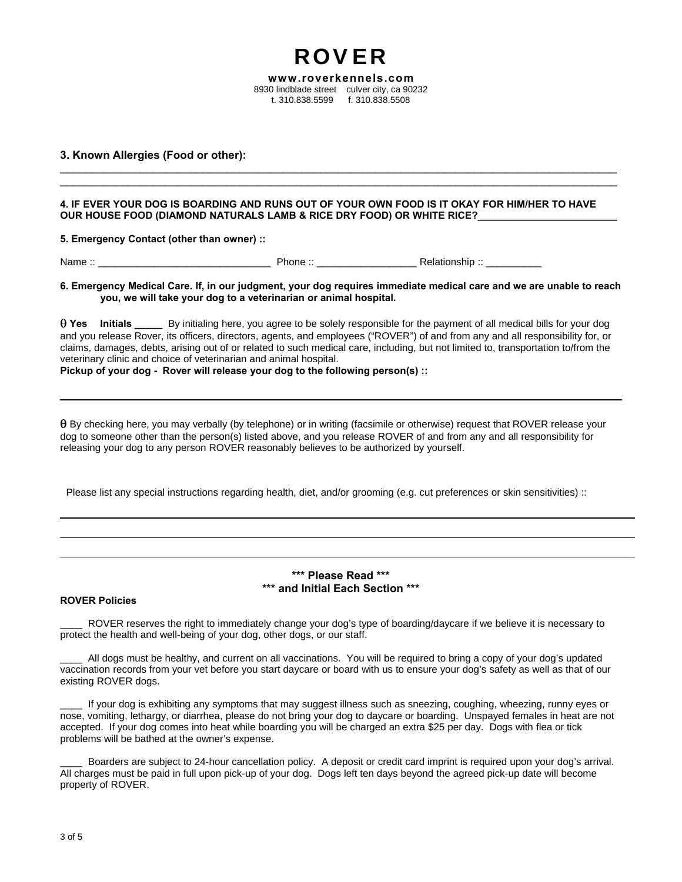**www.roverkennels.com** 8930 lindblade street culver city, ca 90232 t. 310.838.5599 f. 310.838.5508

\_\_\_\_\_\_\_\_\_\_\_\_\_\_\_\_\_\_\_\_\_\_\_\_\_\_\_\_\_\_\_\_\_\_\_\_\_\_\_\_\_\_\_\_\_\_\_\_\_\_\_\_\_\_\_\_\_\_\_\_\_\_\_\_\_\_\_\_\_\_\_\_\_\_\_\_\_\_\_\_\_\_\_\_\_\_\_\_\_\_ \_\_\_\_\_\_\_\_\_\_\_\_\_\_\_\_\_\_\_\_\_\_\_\_\_\_\_\_\_\_\_\_\_\_\_\_\_\_\_\_\_\_\_\_\_\_\_\_\_\_\_\_\_\_\_\_\_\_\_\_\_\_\_\_\_\_\_\_\_\_\_\_\_\_\_\_\_\_\_\_\_\_\_\_\_\_\_\_\_\_

ROVER

**3. Known Allergies (Food or other):**

**4. IF EVER YOUR DOG IS BOARDING AND RUNS OUT OF YOUR OWN FOOD IS IT OKAY FOR HIM/HER TO HAVE OUR HOUSE FOOD (DIAMOND NATURALS LAMB & RICE DRY FOOD) OR WHITE RICE?\_\_\_\_\_\_\_\_\_\_\_\_\_\_\_\_\_\_\_\_\_\_\_\_\_** 

**5. Emergency Contact (other than owner) ::**

Name :: \_\_\_\_\_\_\_\_\_\_\_\_\_\_\_\_\_\_\_\_\_\_\_\_\_\_\_\_\_\_\_ Phone :: \_\_\_\_\_\_\_\_\_\_\_\_\_\_\_\_\_\_ Relationship :: \_\_\_\_\_\_\_\_\_\_

**6. Emergency Medical Care. If, in our judgment, your dog requires immediate medical care and we are unable to reach you, we will take your dog to a veterinarian or animal hospital.** 

 **Yes Initials \_\_\_\_\_** By initialing here, you agree to be solely responsible for the payment of all medical bills for your dog and you release Rover, its officers, directors, agents, and employees ("ROVER") of and from any and all responsibility for, or claims, damages, debts, arising out of or related to such medical care, including, but not limited to, transportation to/from the veterinary clinic and choice of veterinarian and animal hospital.

**Pickup of your dog - Rover will release your dog to the following person(s) ::**

 $\theta$  By checking here, you may verbally (by telephone) or in writing (facsimile or otherwise) request that ROVER release your dog to someone other than the person(s) listed above, and you release ROVER of and from any and all responsibility for releasing your dog to any person ROVER reasonably believes to be authorized by yourself.

Please list any special instructions regarding health, diet, and/or grooming (e.g. cut preferences or skin sensitivities) ::

## **\*\*\* Please Read \*\*\* \*\*\* and Initial Each Section \*\*\***

#### **ROVER Policies**

ROVER reserves the right to immediately change your dog's type of boarding/daycare if we believe it is necessary to protect the health and well-being of your dog, other dogs, or our staff.

\_\_\_\_ All dogs must be healthy, and current on all vaccinations. You will be required to bring a copy of your dog's updated vaccination records from your vet before you start daycare or board with us to ensure your dog's safety as well as that of our existing ROVER dogs.

If your dog is exhibiting any symptoms that may suggest illness such as sneezing, coughing, wheezing, runny eyes or nose, vomiting, lethargy, or diarrhea, please do not bring your dog to daycare or boarding. Unspayed females in heat are not accepted. If your dog comes into heat while boarding you will be charged an extra \$25 per day. Dogs with flea or tick problems will be bathed at the owner's expense.

\_\_\_\_ Boarders are subject to 24-hour cancellation policy. A deposit or credit card imprint is required upon your dog's arrival. All charges must be paid in full upon pick-up of your dog. Dogs left ten days beyond the agreed pick-up date will become property of ROVER.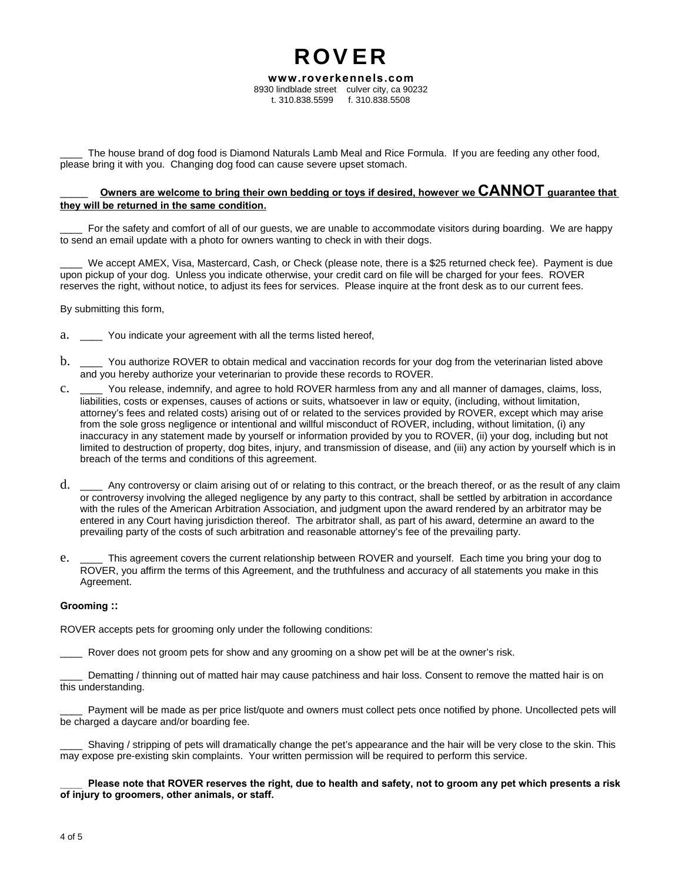**www.roverkennels.com** 8930 lindblade street culver city, ca 90232 t. 310.838.5599 f. 310.838.5508

ROVER

The house brand of dog food is Diamond Naturals Lamb Meal and Rice Formula. If you are feeding any other food, please bring it with you. Changing dog food can cause severe upset stomach.

## Owners are welcome to bring their own bedding or toys if desired, however we CANNOT guarantee that **they will be returned in the same condition.**

For the safety and comfort of all of our guests, we are unable to accommodate visitors during boarding. We are happy to send an email update with a photo for owners wanting to check in with their dogs.

We accept AMEX, Visa, Mastercard, Cash, or Check (please note, there is a \$25 returned check fee). Payment is due upon pickup of your dog. Unless you indicate otherwise, your credit card on file will be charged for your fees. ROVER reserves the right, without notice, to adjust its fees for services. Please inquire at the front desk as to our current fees.

By submitting this form,

- a. \_\_\_\_ You indicate your agreement with all the terms listed hereof,
- b. \_\_\_\_ You authorize ROVER to obtain medical and vaccination records for your dog from the veterinarian listed above and you hereby authorize your veterinarian to provide these records to ROVER.
- c. \_\_\_\_ You release, indemnify, and agree to hold ROVER harmless from any and all manner of damages, claims, loss, liabilities, costs or expenses, causes of actions or suits, whatsoever in law or equity, (including, without limitation, attorney's fees and related costs) arising out of or related to the services provided by ROVER, except which may arise from the sole gross negligence or intentional and willful misconduct of ROVER, including, without limitation, (i) any inaccuracy in any statement made by yourself or information provided by you to ROVER, (ii) your dog, including but not limited to destruction of property, dog bites, injury, and transmission of disease, and (iii) any action by yourself which is in breach of the terms and conditions of this agreement.
- d. \_\_\_\_ Any controversy or claim arising out of or relating to this contract, or the breach thereof, or as the result of any claim or controversy involving the alleged negligence by any party to this contract, shall be settled by arbitration in accordance with the rules of the American Arbitration Association, and judgment upon the award rendered by an arbitrator may be entered in any Court having jurisdiction thereof. The arbitrator shall, as part of his award, determine an award to the prevailing party of the costs of such arbitration and reasonable attorney's fee of the prevailing party.
- e. \_\_\_\_ This agreement covers the current relationship between ROVER and yourself. Each time you bring your dog to ROVER, you affirm the terms of this Agreement, and the truthfulness and accuracy of all statements you make in this Agreement.

#### **Grooming ::**

ROVER accepts pets for grooming only under the following conditions:

Rover does not groom pets for show and any grooming on a show pet will be at the owner's risk.

Dematting / thinning out of matted hair may cause patchiness and hair loss. Consent to remove the matted hair is on this understanding.

Payment will be made as per price list/quote and owners must collect pets once notified by phone. Uncollected pets will be charged a daycare and/or boarding fee.

Shaving / stripping of pets will dramatically change the pet's appearance and the hair will be very close to the skin. This may expose pre-existing skin complaints. Your written permission will be required to perform this service.

\_\_\_\_ **Please note that ROVER reserves the right, due to health and safety, not to groom any pet which presents a risk of injury to groomers, other animals, or staff.**